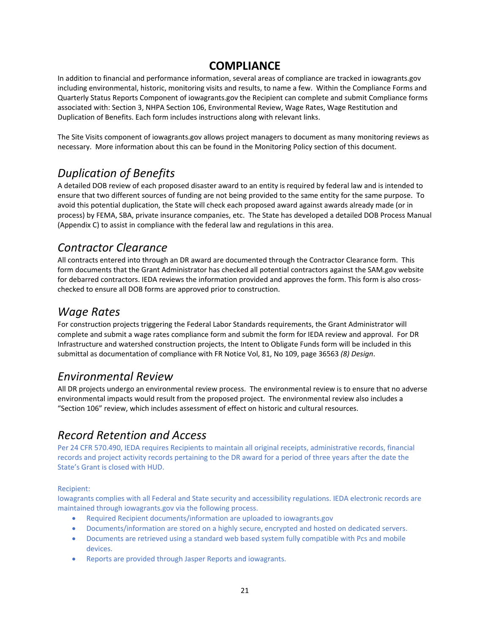#### **COMPLIANCE**

In addition to financial and performance information, several areas of compliance are tracked in iowagrants.gov including environmental, historic, monitoring visits and results, to name a few. Within the Compliance Forms and Quarterly Status Reports Component of iowagrants.gov the Recipient can complete and submit Compliance forms associated with: Section 3, NHPA Section 106, Environmental Review, Wage Rates, Wage Restitution and Duplication of Benefits. Each form includes instructions along with relevant links.

The Site Visits component of iowagrants.gov allows project managers to document as many monitoring reviews as necessary. More information about this can be found in the Monitoring Policy section of this document.

# *Duplication of Benefits*

A detailed DOB review of each proposed disaster award to an entity is required by federal law and is intended to ensure that two different sources of funding are not being provided to the same entity for the same purpose. To avoid this potential duplication, the State will check each proposed award against awards already made (or in process) by FEMA, SBA, private insurance companies, etc. The State has developed a detailed DOB Process Manual (Appendix C) to assist in compliance with the federal law and regulations in this area.

# *Contractor Clearance*

All contracts entered into through an DR award are documented through the Contractor Clearance form. This form documents that the Grant Administrator has checked all potential contractors against the SAM.gov website for debarred contractors. IEDA reviews the information provided and approves the form. This form is also crosschecked to ensure all DOB forms are approved prior to construction.

## *Wage Rates*

For construction projects triggering the Federal Labor Standards requirements, the Grant Administrator will complete and submit a wage rates compliance form and submit the form for IEDA review and approval. For DR Infrastructure and watershed construction projects, the Intent to Obligate Funds form will be included in this submittal as documentation of compliance with FR Notice Vol, 81, No 109, page 36563 *(8) Design*.

#### *Environmental Review*

All DR projects undergo an environmental review process. The environmental review is to ensure that no adverse environmental impacts would result from the proposed project. The environmental review also includes a "Section 106" review, which includes assessment of effect on historic and cultural resources.

# *Record Retention and Access*

Per 24 CFR 570.490, IEDA requires Recipients to maintain all original receipts, administrative records, financial records and project activity records pertaining to the DR award for a period of three years after the date the State's Grant is closed with HUD.

Recipient:

Iowagrants complies with all Federal and State security and accessibility regulations. IEDA electronic records are maintained through iowagrants.gov via the following process.

- Required Recipient documents/information are uploaded to iowagrants.gov
- Documents/information are stored on a highly secure, encrypted and hosted on dedicated servers.
- Documents are retrieved using a standard web based system fully compatible with Pcs and mobile devices.
- Reports are provided through Jasper Reports and iowagrants.